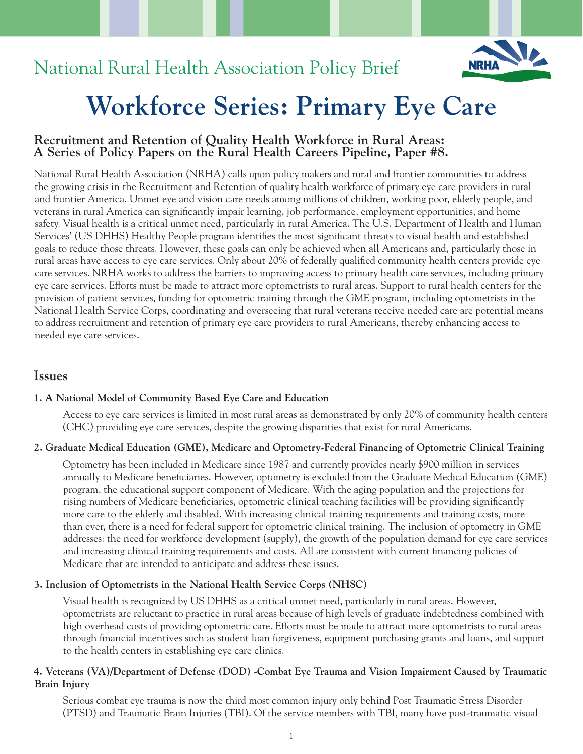# National Rural Health Association Policy Brief



# **Workforce Series: Primary Eye Care**

### **Recruitment and Retention of Quality Health Workforce in Rural Areas: A Series of Policy Papers on the Rural Health Careers Pipeline, Paper #8.**

National Rural Health Association (NRHA) calls upon policy makers and rural and frontier communities to address the growing crisis in the Recruitment and Retention of quality health workforce of primary eye care providers in rural and frontier America. Unmet eye and vision care needs among millions of children, working poor, elderly people, and veterans in rural America can significantly impair learning, job performance, employment opportunities, and home safety. Visual health is a critical unmet need, particularly in rural America. The U.S. Department of Health and Human Services' (US DHHS) Healthy People program identifies the most significant threats to visual health and established goals to reduce those threats. However, these goals can only be achieved when all Americans and, particularly those in rural areas have access to eye care services. Only about 20% of federally qualified community health centers provide eye care services. NRHA works to address the barriers to improving access to primary health care services, including primary eye care services. Efforts must be made to attract more optometrists to rural areas. Support to rural health centers for the provision of patient services, funding for optometric training through the GME program, including optometrists in the National Health Service Corps, coordinating and overseeing that rural veterans receive needed care are potential means to address recruitment and retention of primary eye care providers to rural Americans, thereby enhancing access to needed eye care services.

#### **Issues**

#### **1. A National Model of Community Based Eye Care and Education**

 Access to eye care services is limited in most rural areas as demonstrated by only 20% of community health centers (CHC) providing eye care services, despite the growing disparities that exist for rural Americans.

#### **2. Graduate Medical Education (GME), Medicare and Optometry-Federal Financing of Optometric Clinical Training**

 Optometry has been included in Medicare since 1987 and currently provides nearly \$900 million in services annually to Medicare beneficiaries. However, optometry is excluded from the Graduate Medical Education (GME) program, the educational support component of Medicare. With the aging population and the projections for rising numbers of Medicare beneficiaries, optometric clinical teaching facilities will be providing significantly more care to the elderly and disabled. With increasing clinical training requirements and training costs, more than ever, there is a need for federal support for optometric clinical training. The inclusion of optometry in GME addresses: the need for workforce development (supply), the growth of the population demand for eye care services and increasing clinical training requirements and costs. All are consistent with current financing policies of Medicare that are intended to anticipate and address these issues.

#### **3. Inclusion of Optometrists in the National Health Service Corps (NHSC)**

 Visual health is recognized by US DHHS as a critical unmet need, particularly in rural areas. However, optometrists are reluctant to practice in rural areas because of high levels of graduate indebtedness combined with high overhead costs of providing optometric care. Efforts must be made to attract more optometrists to rural areas through financial incentives such as student loan forgiveness, equipment purchasing grants and loans, and support to the health centers in establishing eye care clinics.

#### **4. Veterans (VA)/Department of Defense (DOD) -Combat Eye Trauma and Vision Impairment Caused by Traumatic Brain Injury**

 Serious combat eye trauma is now the third most common injury only behind Post Traumatic Stress Disorder (PTSD) and Traumatic Brain Injuries (TBI). Of the service members with TBI, many have post-traumatic visual